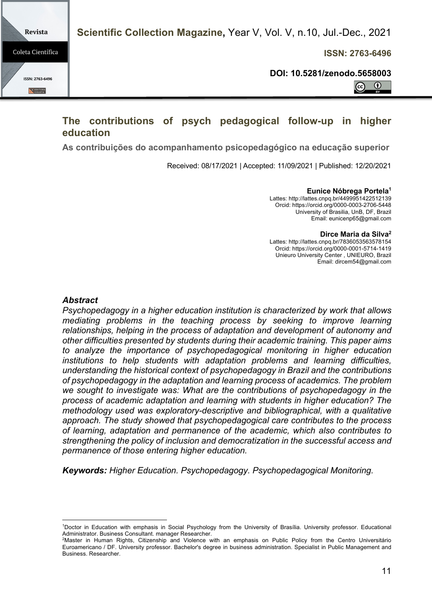**ISSN: 2763-6496**

**DOI: 10.5281/zenodo.5658003**

 $\odot$  $\left( \mathrm{c}\right)$ 

# **The contributions of psych pedagogical follow-up in higher education**

**As contribuições do acompanhamento psicopedagógico na educação superior**

Received: 08/17/2021 | Accepted: 11/09/2021 | Published: 12/20/2021

**Eunice Nóbrega Portela1** Lattes: http://lattes.cnpq.br/4499951422512139 Orcid: https://orcid.org/0000-0003-2706-5448 University of Brasilia, UnB, DF, Brazil

Email: eunicenp65@gmail.com

**Dirce Maria da Silva2**

Lattes: http://lattes.cnpq.br/7836053563578154 Orcid: https://orcid.org/0000-0001-5714-1419 Unieuro University Center , UNIEURO, Brazil Email: dircem54@gmail.com

#### *Abstract*

*Psychopedagogy in a higher education institution is characterized by work that allows mediating problems in the teaching process by seeking to improve learning relationships, helping in the process of adaptation and development of autonomy and other difficulties presented by students during their academic training. This paper aims to analyze the importance of psychopedagogical monitoring in higher education institutions to help students with adaptation problems and learning difficulties, understanding the historical context of psychopedagogy in Brazil and the contributions of psychopedagogy in the adaptation and learning process of academics. The problem we sought to investigate was: What are the contributions of psychopedagogy in the process of academic adaptation and learning with students in higher education? The methodology used was exploratory-descriptive and bibliographical, with a qualitative approach. The study showed that psychopedagogical care contributes to the process of learning, adaptation and permanence of the academic, which also contributes to strengthening the policy of inclusion and democratization in the successful access and permanence of those entering higher education.* 

*Keywords: Higher Education. Psychopedagogy. Psychopedagogical Monitoring.*



<sup>1</sup> Doctor in Education with emphasis in Social Psychology from the University of Brasília. University professor. Educational Administrator. Business Consultant. manager Researcher.

<sup>2</sup> Master in Human Rights, Citizenship and Violence with an emphasis on Public Policy from the Centro Universitário Euroamericano / DF. University professor. Bachelor's degree in business administration. Specialist in Public Management and Business. Researcher.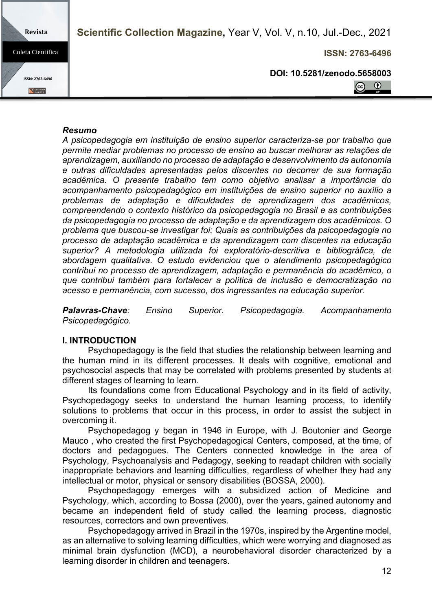Revista **Scientific Collection Magazine,** Year V, Vol. V, n.10, Jul.-Dec., 2021 Coleta Científica **ISSN: 2763-6496 DOI: 10.5281/zenodo.5658003** ISSN: 2763-6496  $\odot$  $\odot$ E EDITORA

#### *Resumo*

*A psicopedagogia em instituição de ensino superior caracteriza-se por trabalho que permite mediar problemas no processo de ensino ao buscar melhorar as relações de aprendizagem, auxiliando no processo de adaptação e desenvolvimento da autonomia e outras dificuldades apresentadas pelos discentes no decorrer de sua formação acadêmica. O presente trabalho tem como objetivo analisar a importância do acompanhamento psicopedagógico em instituições de ensino superior no auxílio a problemas de adaptação e dificuldades de aprendizagem dos acadêmicos, compreendendo o contexto histórico da psicopedagogia no Brasil e as contribuições da psicopedagogia no processo de adaptação e da aprendizagem dos acadêmicos. O problema que buscou-se investigar foi: Quais as contribuições da psicopedagogia no processo de adaptação acadêmica e da aprendizagem com discentes na educação superior? A metodologia utilizada foi exploratório-descritiva e bibliográfica, de abordagem qualitativa. O estudo evidenciou que o atendimento psicopedagógico contribui no processo de aprendizagem, adaptação e permanência do acadêmico, o que contribui também para fortalecer a política de inclusão e democratização no acesso e permanência, com sucesso, dos ingressantes na educação superior.* 

*Palavras-Chave: Ensino Superior. Psicopedagogia. Acompanhamento Psicopedagógico.* 

## **I. INTRODUCTION**

Psychopedagogy is the field that studies the relationship between learning and the human mind in its different processes. It deals with cognitive, emotional and psychosocial aspects that may be correlated with problems presented by students at different stages of learning to learn.

Its foundations come from Educational Psychology and in its field of activity, Psychopedagogy seeks to understand the human learning process, to identify solutions to problems that occur in this process, in order to assist the subject in overcoming it.

Psychopedagog y began in 1946 in Europe, with J. Boutonier and George Mauco , who created the first Psychopedagogical Centers, composed, at the time, of doctors and pedagogues. The Centers connected knowledge in the area of Psychology, Psychoanalysis and Pedagogy, seeking to readapt children with socially inappropriate behaviors and learning difficulties, regardless of whether they had any intellectual or motor, physical or sensory disabilities (BOSSA, 2000).

Psychopedagogy emerges with a subsidized action of Medicine and Psychology, which, according to Bossa (2000), over the years, gained autonomy and became an independent field of study called the learning process, diagnostic resources, correctors and own preventives.

Psychopedagogy arrived in Brazil in the 1970s, inspired by the Argentine model, as an alternative to solving learning difficulties, which were worrying and diagnosed as minimal brain dysfunction (MCD), a neurobehavioral disorder characterized by a learning disorder in children and teenagers.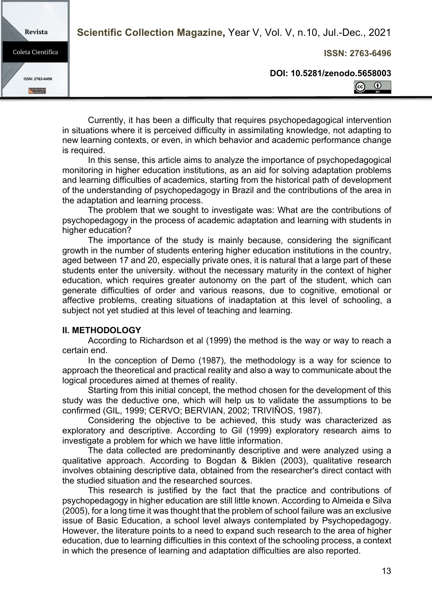**ISSN: 2763-6496**

**DOI: 10.5281/zenodo.5658003**



Currently, it has been a difficulty that requires psychopedagogical intervention in situations where it is perceived difficulty in assimilating knowledge, not adapting to new learning contexts, or even, in which behavior and academic performance change is required.

In this sense, this article aims to analyze the importance of psychopedagogical monitoring in higher education institutions, as an aid for solving adaptation problems and learning difficulties of academics, starting from the historical path of development of the understanding of psychopedagogy in Brazil and the contributions of the area in the adaptation and learning process.

The problem that we sought to investigate was: What are the contributions of psychopedagogy in the process of academic adaptation and learning with students in higher education?

The importance of the study is mainly because, considering the significant growth in the number of students entering higher education institutions in the country, aged between 17 and 20, especially private ones, it is natural that a large part of these students enter the university. without the necessary maturity in the context of higher education, which requires greater autonomy on the part of the student, which can generate difficulties of order and various reasons, due to cognitive, emotional or affective problems, creating situations of inadaptation at this level of schooling, a subject not yet studied at this level of teaching and learning.

## **II. METHODOLOGY**

Revista

Coleta Científica

ISSN: 2763-6496

**EDITORA** 

According to Richardson et al (1999) the method is the way or way to reach a certain end.

In the conception of Demo (1987), the methodology is a way for science to approach the theoretical and practical reality and also a way to communicate about the logical procedures aimed at themes of reality.

Starting from this initial concept, the method chosen for the development of this study was the deductive one, which will help us to validate the assumptions to be confirmed (GIL, 1999; CERVO; BERVIAN, 2002; TRIVIÑOS, 1987).

Considering the objective to be achieved, this study was characterized as exploratory and descriptive. According to Gil (1999) exploratory research aims to investigate a problem for which we have little information.

The data collected are predominantly descriptive and were analyzed using a qualitative approach. According to Bogdan & Biklen (2003), qualitative research involves obtaining descriptive data, obtained from the researcher's direct contact with the studied situation and the researched sources.

This research is justified by the fact that the practice and contributions of psychopedagogy in higher education are still little known. According to Almeida e Silva (2005), for a long time it was thought that the problem of school failure was an exclusive issue of Basic Education, a school level always contemplated by Psychopedagogy. However, the literature points to a need to expand such research to the area of higher education, due to learning difficulties in this context of the schooling process, a context in which the presence of learning and adaptation difficulties are also reported.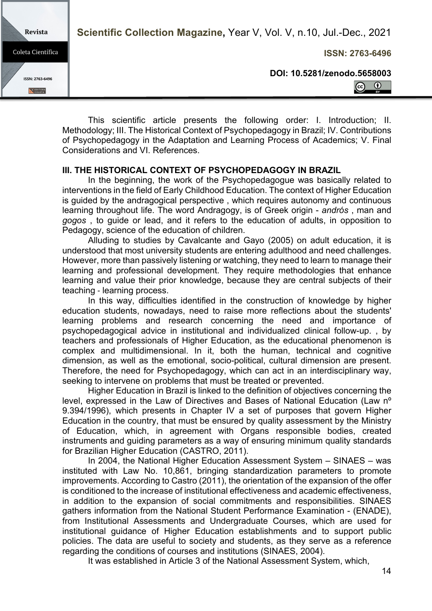**ISSN: 2763-6496**

**DOI: 10.5281/zenodo.5658003**



This scientific article presents the following order: I. Introduction; II. Methodology; III. The Historical Context of Psychopedagogy in Brazil; IV. Contributions of Psychopedagogy in the Adaptation and Learning Process of Academics; V. Final Considerations and VI. References.

## **III. THE HISTORICAL CONTEXT OF PSYCHOPEDAGOGY IN BRAZIL**

Revista

Coleta Científica

ISSN: 2763-6496

**EDITORA** 

In the beginning, the work of the Psychopedagogue was basically related to interventions in the field of Early Childhood Education. The context of Higher Education is guided by the andragogical perspective , which requires autonomy and continuous learning throughout life. The word Andragogy, is of Greek origin - *andrós* , man and *gogos* , to guide or lead, and it refers to the education of adults, in opposition to Pedagogy, science of the education of children.

Alluding to studies by Cavalcante and Gayo (2005) on adult education, it is understood that most university students are entering adulthood and need challenges. However, more than passively listening or watching, they need to learn to manage their learning and professional development. They require methodologies that enhance learning and value their prior knowledge, because they are central subjects of their teaching - learning process.

In this way, difficulties identified in the construction of knowledge by higher education students, nowadays, need to raise more reflections about the students' learning problems and research concerning the need and importance of psychopedagogical advice in institutional and individualized clinical follow-up. , by teachers and professionals of Higher Education, as the educational phenomenon is complex and multidimensional. In it, both the human, technical and cognitive dimension, as well as the emotional, socio-political, cultural dimension are present. Therefore, the need for Psychopedagogy, which can act in an interdisciplinary way, seeking to intervene on problems that must be treated or prevented.

Higher Education in Brazil is linked to the definition of objectives concerning the level, expressed in the Law of Directives and Bases of National Education (Law nº 9.394/1996), which presents in Chapter IV a set of purposes that govern Higher Education in the country, that must be ensured by quality assessment by the Ministry of Education, which, in agreement with Organs responsible bodies, created instruments and guiding parameters as a way of ensuring minimum quality standards for Brazilian Higher Education (CASTRO, 2011).

In 2004, the National Higher Education Assessment System – SINAES – was instituted with Law No. 10,861, bringing standardization parameters to promote improvements. According to Castro (2011), the orientation of the expansion of the offer is conditioned to the increase of institutional effectiveness and academic effectiveness, in addition to the expansion of social commitments and responsibilities. SINAES gathers information from the National Student Performance Examination - (ENADE), from Institutional Assessments and Undergraduate Courses, which are used for institutional guidance of Higher Education establishments and to support public policies. The data are useful to society and students, as they serve as a reference regarding the conditions of courses and institutions (SINAES, 2004).

It was established in Article 3 of the National Assessment System, which,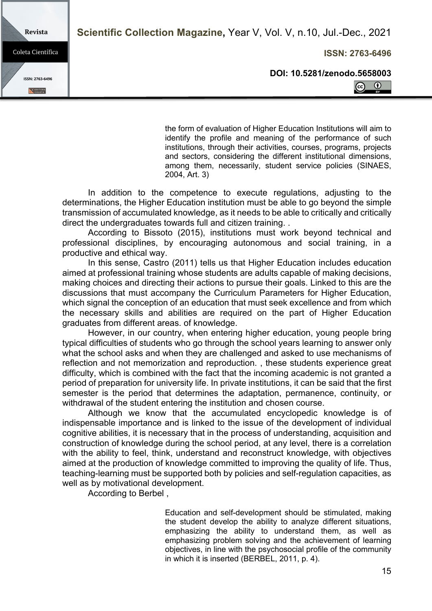**ISSN: 2763-6496**

**DOI: 10.5281/zenodo.5658003**



the form of evaluation of Higher Education Institutions will aim to identify the profile and meaning of the performance of such institutions, through their activities, courses, programs, projects and sectors, considering the different institutional dimensions, among them, necessarily, student service policies (SINAES, 2004, Art. 3)

In addition to the competence to execute regulations, adjusting to the determinations, the Higher Education institution must be able to go beyond the simple transmission of accumulated knowledge, as it needs to be able to critically and critically direct the undergraduates towards full and citizen training. .

According to Bissoto (2015), institutions must work beyond technical and professional disciplines, by encouraging autonomous and social training, in a productive and ethical way.

In this sense, Castro (2011) tells us that Higher Education includes education aimed at professional training whose students are adults capable of making decisions, making choices and directing their actions to pursue their goals. Linked to this are the discussions that must accompany the Curriculum Parameters for Higher Education, which signal the conception of an education that must seek excellence and from which the necessary skills and abilities are required on the part of Higher Education graduates from different areas. of knowledge.

However, in our country, when entering higher education, young people bring typical difficulties of students who go through the school years learning to answer only what the school asks and when they are challenged and asked to use mechanisms of reflection and not memorization and reproduction. , these students experience great difficulty, which is combined with the fact that the incoming academic is not granted a period of preparation for university life. In private institutions, it can be said that the first semester is the period that determines the adaptation, permanence, continuity, or withdrawal of the student entering the institution and chosen course.

Although we know that the accumulated encyclopedic knowledge is of indispensable importance and is linked to the issue of the development of individual cognitive abilities, it is necessary that in the process of understanding, acquisition and construction of knowledge during the school period, at any level, there is a correlation with the ability to feel, think, understand and reconstruct knowledge, with objectives aimed at the production of knowledge committed to improving the quality of life. Thus, teaching-learning must be supported both by policies and self-regulation capacities, as well as by motivational development.

According to Berbel ,

Education and self-development should be stimulated, making the student develop the ability to analyze different situations, emphasizing the ability to understand them, as well as emphasizing problem solving and the achievement of learning objectives, in line with the psychosocial profile of the community in which it is inserted (BERBEL, 2011, p. 4).

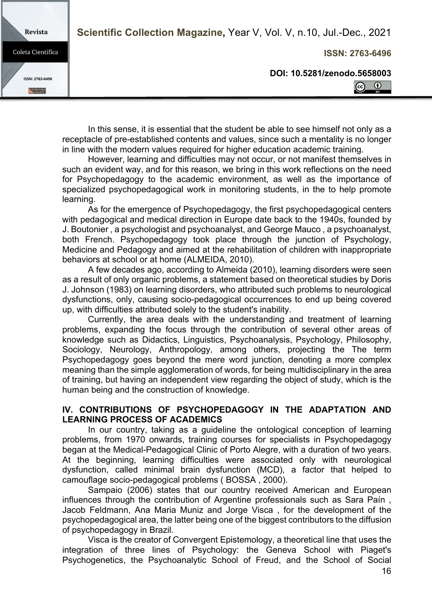Revista

Coleta Científica

ISSN: 2763-6496

**EDITORA** 

**ISSN: 2763-6496**

**DOI: 10.5281/zenodo.5658003**



In this sense, it is essential that the student be able to see himself not only as a receptacle of pre-established contents and values, since such a mentality is no longer in line with the modern values required for higher education academic training.

However, learning and difficulties may not occur, or not manifest themselves in such an evident way, and for this reason, we bring in this work reflections on the need for Psychopedagogy to the academic environment, as well as the importance of specialized psychopedagogical work in monitoring students, in the to help promote learning.

As for the emergence of Psychopedagogy, the first psychopedagogical centers with pedagogical and medical direction in Europe date back to the 1940s, founded by J. Boutonier , a psychologist and psychoanalyst, and George Mauco , a psychoanalyst, both French. Psychopedagogy took place through the junction of Psychology, Medicine and Pedagogy and aimed at the rehabilitation of children with inappropriate behaviors at school or at home (ALMEIDA, 2010).

A few decades ago, according to Almeida (2010), learning disorders were seen as a result of only organic problems, a statement based on theoretical studies by Doris J. Johnson (1983) on learning disorders, who attributed such problems to neurological dysfunctions, only, causing socio-pedagogical occurrences to end up being covered up, with difficulties attributed solely to the student's inability.

Currently, the area deals with the understanding and treatment of learning problems, expanding the focus through the contribution of several other areas of knowledge such as Didactics, Linguistics, Psychoanalysis, Psychology, Philosophy, Sociology, Neurology, Anthropology, among others, projecting the The term Psychopedagogy goes beyond the mere word junction, denoting a more complex meaning than the simple agglomeration of words, for being multidisciplinary in the area of training, but having an independent view regarding the object of study, which is the human being and the construction of knowledge.

#### **IV. CONTRIBUTIONS OF PSYCHOPEDAGOGY IN THE ADAPTATION AND LEARNING PROCESS OF ACADEMICS**

In our country, taking as a guideline the ontological conception of learning problems, from 1970 onwards, training courses for specialists in Psychopedagogy began at the Medical-Pedagogical Clinic of Porto Alegre, with a duration of two years. At the beginning, learning difficulties were associated only with neurological dysfunction, called minimal brain dysfunction (MCD), a factor that helped to camouflage socio-pedagogical problems ( BOSSA , 2000).

Sampaio (2006) states that our country received American and European influences through the contribution of Argentine professionals such as Sara Paín , Jacob Feldmann, Ana Maria Muniz and Jorge Visca , for the development of the psychopedagogical area, the latter being one of the biggest contributors to the diffusion of psychopedagogy in Brazil.

Visca is the creator of Convergent Epistemology, a theoretical line that uses the integration of three lines of Psychology: the Geneva School with Piaget's Psychogenetics, the Psychoanalytic School of Freud, and the School of Social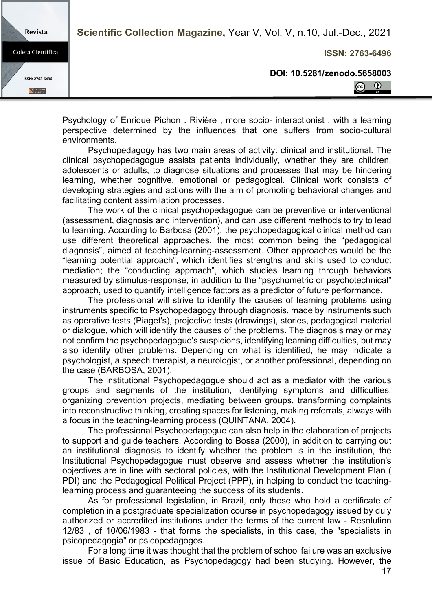Revista

Coleta Científica

ISSN: 2763-6496

**EDITORA** 

**ISSN: 2763-6496**

**DOI: 10.5281/zenodo.5658003**

 $\odot$  $\left( \widehat{cc}\right)$ 

Psychology of Enrique Pichon . Rivière , more socio- interactionist , with a learning perspective determined by the influences that one suffers from socio-cultural environments.

Psychopedagogy has two main areas of activity: clinical and institutional. The clinical psychopedagogue assists patients individually, whether they are children, adolescents or adults, to diagnose situations and processes that may be hindering learning, whether cognitive, emotional or pedagogical. Clinical work consists of developing strategies and actions with the aim of promoting behavioral changes and facilitating content assimilation processes.

The work of the clinical psychopedagogue can be preventive or interventional (assessment, diagnosis and intervention), and can use different methods to try to lead to learning. According to Barbosa (2001), the psychopedagogical clinical method can use different theoretical approaches, the most common being the "pedagogical diagnosis", aimed at teaching-learning-assessment. Other approaches would be the "learning potential approach", which identifies strengths and skills used to conduct mediation; the "conducting approach", which studies learning through behaviors measured by stimulus-response; in addition to the "psychometric or psychotechnical" approach, used to quantify intelligence factors as a predictor of future performance.

The professional will strive to identify the causes of learning problems using instruments specific to Psychopedagogy through diagnosis, made by instruments such as operative tests (Piaget's), projective tests (drawings), stories, pedagogical material or dialogue, which will identify the causes of the problems. The diagnosis may or may not confirm the psychopedagogue's suspicions, identifying learning difficulties, but may also identify other problems. Depending on what is identified, he may indicate a psychologist, a speech therapist, a neurologist, or another professional, depending on the case (BARBOSA, 2001).

The institutional Psychopedagogue should act as a mediator with the various groups and segments of the institution, identifying symptoms and difficulties, organizing prevention projects, mediating between groups, transforming complaints into reconstructive thinking, creating spaces for listening, making referrals, always with a focus in the teaching-learning process (QUINTANA, 2004).

The professional Psychopedagogue can also help in the elaboration of projects to support and guide teachers. According to Bossa (2000), in addition to carrying out an institutional diagnosis to identify whether the problem is in the institution, the Institutional Psychopedagogue must observe and assess whether the institution's objectives are in line with sectoral policies, with the Institutional Development Plan ( PDI) and the Pedagogical Political Project (PPP), in helping to conduct the teachinglearning process and guaranteeing the success of its students.

As for professional legislation, in Brazil, only those who hold a certificate of completion in a postgraduate specialization course in psychopedagogy issued by duly authorized or accredited institutions under the terms of the current law - Resolution 12/83 , of 10/06/1983 - that forms the specialists, in this case, the "specialists in psicopedagogia" or psicopedagogos.

For a long time it was thought that the problem of school failure was an exclusive issue of Basic Education, as Psychopedagogy had been studying. However, the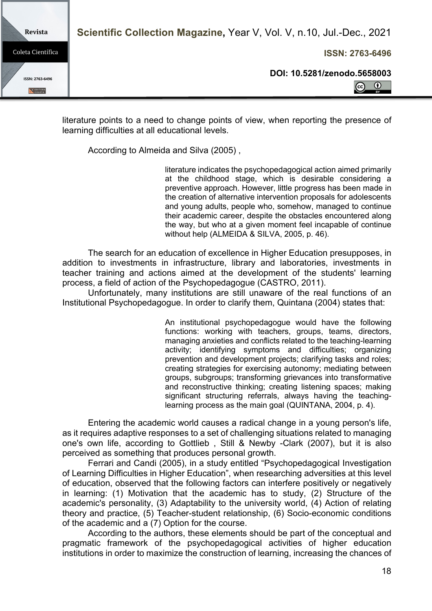**ISSN: 2763-6496**

**Revista** Coleta Científica ISSN: 2763-6496 **EDITORA** 

**DOI: 10.5281/zenodo.5658003**

 $\odot$  $\left( \mathrm{c}\right)$ 

literature points to a need to change points of view, when reporting the presence of learning difficulties at all educational levels.

According to Almeida and Silva (2005) ,

literature indicates the psychopedagogical action aimed primarily at the childhood stage, which is desirable considering a preventive approach. However, little progress has been made in the creation of alternative intervention proposals for adolescents and young adults, people who, somehow, managed to continue their academic career, despite the obstacles encountered along the way, but who at a given moment feel incapable of continue without help (ALMEIDA & SILVA, 2005, p. 46).

The search for an education of excellence in Higher Education presupposes, in addition to investments in infrastructure, library and laboratories, investments in teacher training and actions aimed at the development of the students' learning process, a field of action of the Psychopedagogue (CASTRO, 2011).

Unfortunately, many institutions are still unaware of the real functions of an Institutional Psychopedagogue. In order to clarify them, Quintana (2004) states that:

> An institutional psychopedagogue would have the following functions: working with teachers, groups, teams, directors, managing anxieties and conflicts related to the teaching-learning activity; identifying symptoms and difficulties; organizing prevention and development projects; clarifying tasks and roles; creating strategies for exercising autonomy; mediating between groups, subgroups; transforming grievances into transformative and reconstructive thinking; creating listening spaces; making significant structuring referrals, always having the teachinglearning process as the main goal (QUINTANA, 2004, p. 4).

Entering the academic world causes a radical change in a young person's life, as it requires adaptive responses to a set of challenging situations related to managing one's own life, according to Gottlieb , Still & Newby -Clark (2007), but it is also perceived as something that produces personal growth.

Ferrari and Candi (2005), in a study entitled "Psychopedagogical Investigation of Learning Difficulties in Higher Education", when researching adversities at this level of education, observed that the following factors can interfere positively or negatively in learning: (1) Motivation that the academic has to study, (2) Structure of the academic's personality, (3) Adaptability to the university world, (4) Action of relating theory and practice, (5) Teacher-student relationship, (6) Socio-economic conditions of the academic and a (7) Option for the course.

According to the authors, these elements should be part of the conceptual and pragmatic framework of the psychopedagogical activities of higher education institutions in order to maximize the construction of learning, increasing the chances of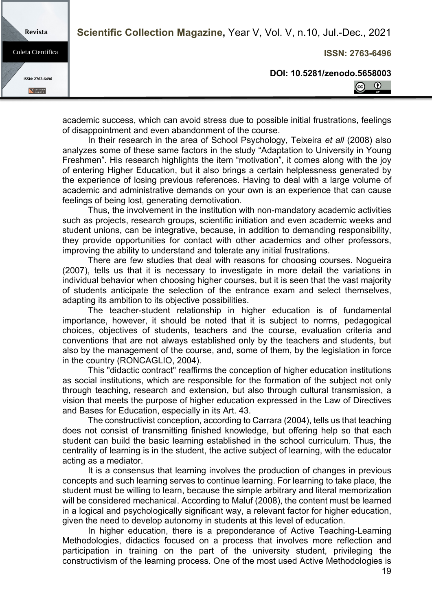**Revista** 

Coleta Científica

ISSN: 2763-6496

**EDITORA** 

**ISSN: 2763-6496**

**DOI: 10.5281/zenodo.5658003**

 $\odot$  $\odot$ 

academic success, which can avoid stress due to possible initial frustrations, feelings of disappointment and even abandonment of the course.

In their research in the area of School Psychology, Teixeira *et all* (2008) also analyzes some of these same factors in the study "Adaptation to University in Young Freshmen". His research highlights the item "motivation", it comes along with the joy of entering Higher Education, but it also brings a certain helplessness generated by the experience of losing previous references. Having to deal with a large volume of academic and administrative demands on your own is an experience that can cause feelings of being lost, generating demotivation.

Thus, the involvement in the institution with non-mandatory academic activities such as projects, research groups, scientific initiation and even academic weeks and student unions, can be integrative, because, in addition to demanding responsibility, they provide opportunities for contact with other academics and other professors, improving the ability to understand and tolerate any initial frustrations.

There are few studies that deal with reasons for choosing courses. Nogueira (2007), tells us that it is necessary to investigate in more detail the variations in individual behavior when choosing higher courses, but it is seen that the vast majority of students anticipate the selection of the entrance exam and select themselves, adapting its ambition to its objective possibilities.

The teacher-student relationship in higher education is of fundamental importance, however, it should be noted that it is subject to norms, pedagogical choices, objectives of students, teachers and the course, evaluation criteria and conventions that are not always established only by the teachers and students, but also by the management of the course, and, some of them, by the legislation in force in the country (RONCAGLIO, 2004).

This "didactic contract" reaffirms the conception of higher education institutions as social institutions, which are responsible for the formation of the subject not only through teaching, research and extension, but also through cultural transmission, a vision that meets the purpose of higher education expressed in the Law of Directives and Bases for Education, especially in its Art. 43.

The constructivist conception, according to Carrara (2004), tells us that teaching does not consist of transmitting finished knowledge, but offering help so that each student can build the basic learning established in the school curriculum. Thus, the centrality of learning is in the student, the active subject of learning, with the educator acting as a mediator.

It is a consensus that learning involves the production of changes in previous concepts and such learning serves to continue learning. For learning to take place, the student must be willing to learn, because the simple arbitrary and literal memorization will be considered mechanical. According to Maluf (2008), the content must be learned in a logical and psychologically significant way, a relevant factor for higher education, given the need to develop autonomy in students at this level of education.

In higher education, there is a preponderance of Active Teaching-Learning Methodologies, didactics focused on a process that involves more reflection and participation in training on the part of the university student, privileging the constructivism of the learning process. One of the most used Active Methodologies is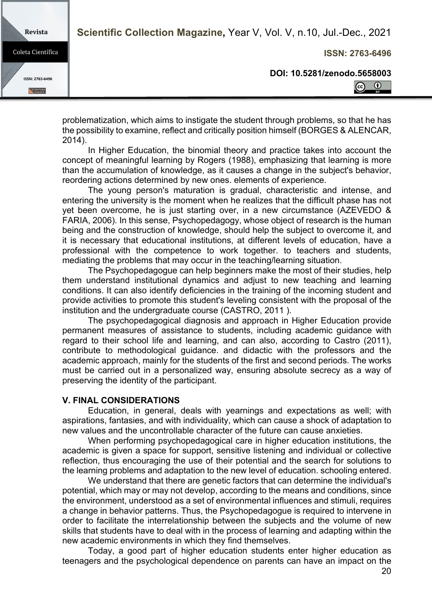**ISSN: 2763-6496**

**DOI: 10.5281/zenodo.5658003**

 $\odot$  $\left( \widehat{cc}\right)$ 

problematization, which aims to instigate the student through problems, so that he has the possibility to examine, reflect and critically position himself (BORGES & ALENCAR, 2014).

In Higher Education, the binomial theory and practice takes into account the concept of meaningful learning by Rogers (1988), emphasizing that learning is more than the accumulation of knowledge, as it causes a change in the subject's behavior, reordering actions determined by new ones. elements of experience.

The young person's maturation is gradual, characteristic and intense, and entering the university is the moment when he realizes that the difficult phase has not yet been overcome, he is just starting over, in a new circumstance (AZEVEDO & FARIA, 2006). In this sense, Psychopedagogy, whose object of research is the human being and the construction of knowledge, should help the subject to overcome it, and it is necessary that educational institutions, at different levels of education, have a professional with the competence to work together. to teachers and students, mediating the problems that may occur in the teaching/learning situation.

The Psychopedagogue can help beginners make the most of their studies, help them understand institutional dynamics and adjust to new teaching and learning conditions. It can also identify deficiencies in the training of the incoming student and provide activities to promote this student's leveling consistent with the proposal of the institution and the undergraduate course (CASTRO, 2011 ).

The psychopedagogical diagnosis and approach in Higher Education provide permanent measures of assistance to students, including academic guidance with regard to their school life and learning, and can also, according to Castro (2011), contribute to methodological guidance. and didactic with the professors and the academic approach, mainly for the students of the first and second periods. The works must be carried out in a personalized way, ensuring absolute secrecy as a way of preserving the identity of the participant.

#### **V. FINAL CONSIDERATIONS**

Revista

Coleta Científica

ISSN: 2763-6496

**EDITORA** 

Education, in general, deals with yearnings and expectations as well; with aspirations, fantasies, and with individuality, which can cause a shock of adaptation to new values and the uncontrollable character of the future can cause anxieties.

When performing psychopedagogical care in higher education institutions, the academic is given a space for support, sensitive listening and individual or collective reflection, thus encouraging the use of their potential and the search for solutions to the learning problems and adaptation to the new level of education. schooling entered.

We understand that there are genetic factors that can determine the individual's potential, which may or may not develop, according to the means and conditions, since the environment, understood as a set of environmental influences and stimuli, requires a change in behavior patterns. Thus, the Psychopedagogue is required to intervene in order to facilitate the interrelationship between the subjects and the volume of new skills that students have to deal with in the process of learning and adapting within the new academic environments in which they find themselves.

Today, a good part of higher education students enter higher education as teenagers and the psychological dependence on parents can have an impact on the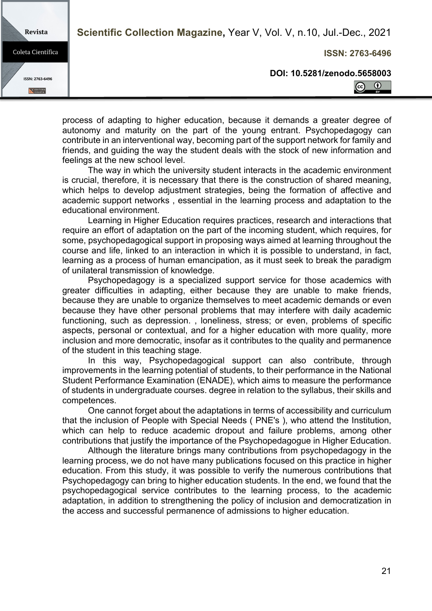Revista

Coleta Científica

ISSN: 2763-6496

**EDITORA** 

**ISSN: 2763-6496**

**DOI: 10.5281/zenodo.5658003**



process of adapting to higher education, because it demands a greater degree of autonomy and maturity on the part of the young entrant. Psychopedagogy can contribute in an interventional way, becoming part of the support network for family and friends, and guiding the way the student deals with the stock of new information and feelings at the new school level.

The way in which the university student interacts in the academic environment is crucial, therefore, it is necessary that there is the construction of shared meaning, which helps to develop adjustment strategies, being the formation of affective and academic support networks , essential in the learning process and adaptation to the educational environment.

Learning in Higher Education requires practices, research and interactions that require an effort of adaptation on the part of the incoming student, which requires, for some, psychopedagogical support in proposing ways aimed at learning throughout the course and life, linked to an interaction in which it is possible to understand, in fact, learning as a process of human emancipation, as it must seek to break the paradigm of unilateral transmission of knowledge.

Psychopedagogy is a specialized support service for those academics with greater difficulties in adapting, either because they are unable to make friends, because they are unable to organize themselves to meet academic demands or even because they have other personal problems that may interfere with daily academic functioning, such as depression. , loneliness, stress; or even, problems of specific aspects, personal or contextual, and for a higher education with more quality, more inclusion and more democratic, insofar as it contributes to the quality and permanence of the student in this teaching stage.

In this way, Psychopedagogical support can also contribute, through improvements in the learning potential of students, to their performance in the National Student Performance Examination (ENADE), which aims to measure the performance of students in undergraduate courses. degree in relation to the syllabus, their skills and competences.

One cannot forget about the adaptations in terms of accessibility and curriculum that the inclusion of People with Special Needs ( PNE's ), who attend the Institution, which can help to reduce academic dropout and failure problems, among other contributions that justify the importance of the Psychopedagogue in Higher Education.

Although the literature brings many contributions from psychopedagogy in the learning process, we do not have many publications focused on this practice in higher education. From this study, it was possible to verify the numerous contributions that Psychopedagogy can bring to higher education students. In the end, we found that the psychopedagogical service contributes to the learning process, to the academic adaptation, in addition to strengthening the policy of inclusion and democratization in the access and successful permanence of admissions to higher education.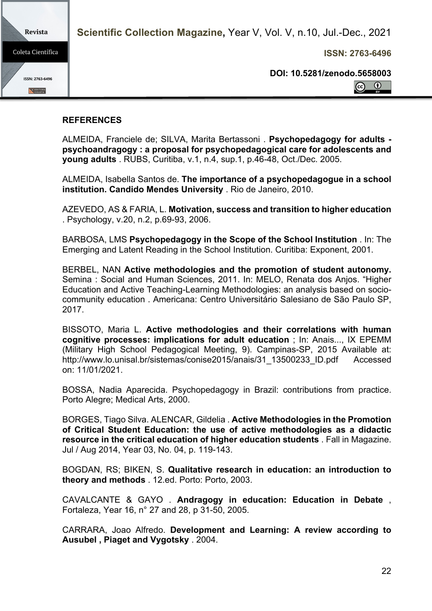Revista **Scientific Collection Magazine,** Year V, Vol. V, n.10, Jul.-Dec., 2021 Coleta Científica **ISSN: 2763-6496 DOI: 10.5281/zenodo.5658003** ISSN: 2763-6496  $\odot$  $\left( \widehat{cc}\right)$ E EDITORA

## **REFERENCES**

ALMEIDA, Franciele de; SILVA, Marita Bertassoni . **Psychopedagogy for adults psychoandragogy : a proposal for psychopedagogical care for adolescents and young adults** . RUBS, Curitiba, v.1, n.4, sup.1, p.46-48, Oct./Dec. 2005.

ALMEIDA, Isabella Santos de. **The importance of a psychopedagogue in a school institution. Candido Mendes University** . Rio de Janeiro, 2010.

AZEVEDO, AS & FARIA, L. **Motivation, success and transition to higher education**  . Psychology, v.20, n.2, p.69-93, 2006.

BARBOSA, LMS **Psychopedagogy in the Scope of the School Institution** . In: The Emerging and Latent Reading in the School Institution. Curitiba: Exponent, 2001.

BERBEL, NAN **Active methodologies and the promotion of student autonomy.** Semina : Social and Human Sciences, 2011. In: MELO, Renata dos Anjos. "Higher Education and Active Teaching-Learning Methodologies: an analysis based on sociocommunity education . Americana: Centro Universitário Salesiano de São Paulo SP, 2017.

BISSOTO, Maria L. **Active methodologies and their correlations with human cognitive processes: implications for adult education** ; In: Anais..., IX EPEMM (Military High School Pedagogical Meeting, 9). Campinas-SP, 2015 Available at: http://www.lo.unisal.br/sistemas/conise2015/anais/31\_13500233\_ID.pdf Accessed on: 11/01/2021.

BOSSA, Nadia Aparecida. Psychopedagogy in Brazil: contributions from practice. Porto Alegre; Medical Arts, 2000.

BORGES, Tiago Silva. ALENCAR, Gildelia . **Active Methodologies in the Promotion of Critical Student Education: the use of active methodologies as a didactic resource in the critical education of higher education students** . Fall in Magazine. Jul / Aug 2014, Year 03, No. 04, p. 119-143.

BOGDAN, RS; BIKEN, S. **Qualitative research in education: an introduction to theory and methods** . 12.ed. Porto: Porto, 2003.

CAVALCANTE & GAYO . **Andragogy in education: Education in Debate** , Fortaleza, Year 16, n° 27 and 28, p 31-50, 2005.

CARRARA, Joao Alfredo. **Development and Learning: A review according to Ausubel , Piaget and Vygotsky** . 2004.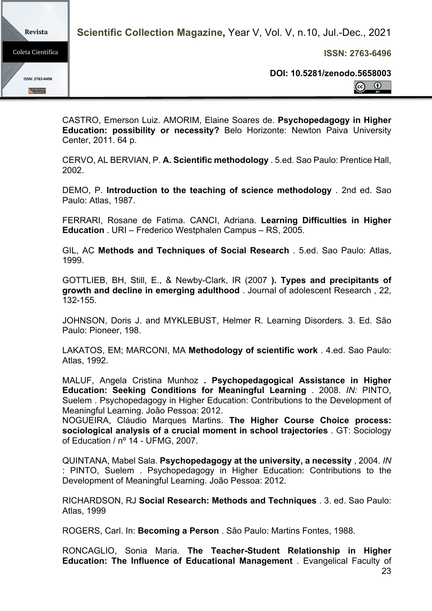**ISSN: 2763-6496**

Revista Coleta Científica ISSN: 2763-6496 E EDITORA

**DOI: 10.5281/zenodo.5658003**

 $\odot$  $\left( \mathbf{c}\right)$ 

CASTRO, Emerson Luiz. AMORIM, Elaine Soares de. **Psychopedagogy in Higher Education: possibility or necessity?** Belo Horizonte: Newton Paiva University Center, 2011. 64 p.

CERVO, AL BERVIAN, P. **A. Scientific methodology** . 5.ed. Sao Paulo: Prentice Hall, 2002.

DEMO, P. **Introduction to the teaching of science methodology** . 2nd ed. Sao Paulo: Atlas, 1987.

FERRARI, Rosane de Fatima. CANCI, Adriana. **Learning Difficulties in Higher Education** . URI – Frederico Westphalen Campus – RS, 2005.

GIL, AC **Methods and Techniques of Social Research** . 5.ed. Sao Paulo: Atlas, 1999.

GOTTLIEB, BH, Still, E., & Newby-Clark, IR (2007 **). Types and precipitants of growth and decline in emerging adulthood** . Journal of adolescent Research , 22, 132-155.

JOHNSON, Doris J. and MYKLEBUST, Helmer R. Learning Disorders. 3. Ed. São Paulo: Pioneer, 198.

LAKATOS, EM; MARCONI, MA **Methodology of scientific work** . 4.ed. Sao Paulo: Atlas, 1992.

MALUF, Angela Cristina Munhoz **. Psychopedagogical Assistance in Higher Education: Seeking Conditions for Meaningful Learning** . 2008. *IN:* PINTO, Suelem . Psychopedagogy in Higher Education: Contributions to the Development of Meaningful Learning. João Pessoa: 2012.

NOGUEIRA, Cláudio Marques Martins. **The Higher Course Choice process: sociological analysis of a crucial moment in school trajectories** . GT: Sociology of Education / nº 14 - UFMG, 2007.

QUINTANA, Mabel Sala. **Psychopedagogy at the university, a necessity** , 2004. *IN*  : PINTO, Suelem . Psychopedagogy in Higher Education: Contributions to the Development of Meaningful Learning. João Pessoa: 2012.

RICHARDSON, RJ **Social Research: Methods and Techniques** . 3. ed. Sao Paulo: Atlas, 1999

ROGERS, Carl. In: **Becoming a Person** . São Paulo: Martins Fontes, 1988.

RONCAGLIO, Sonia Maria. **The Teacher-Student Relationship in Higher Education: The Influence of Educational Management** . Evangelical Faculty of